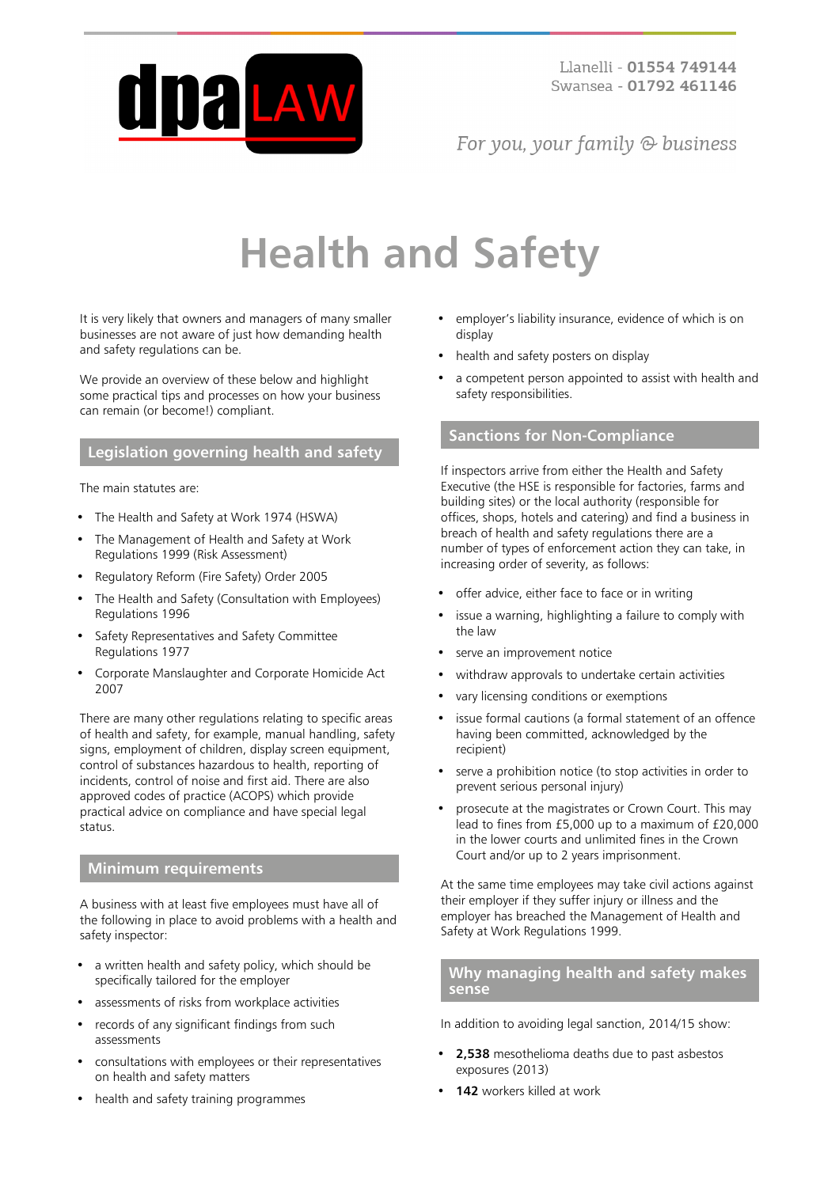

For you, your family  $\odot$  business

# **Health and Safety**

It is very likely that owners and managers of many smaller businesses are not aware of just how demanding health and safety regulations can be.

We provide an overview of these below and highlight some practical tips and processes on how your business can remain (or become!) compliant.

# **Legislation governing health and safety**

The main statutes are:

- The Health and Safety at Work 1974 (HSWA)
- The Management of Health and Safety at Work Regulations 1999 (Risk Assessment)
- Regulatory Reform (Fire Safety) Order 2005
- The Health and Safety (Consultation with Employees) Regulations 1996
- Safety Representatives and Safety Committee Regulations 1977
- Corporate Manslaughter and Corporate Homicide Act 2007

There are many other regulations relating to specific areas of health and safety, for example, manual handling, safety signs, employment of children, display screen equipment, control of substances hazardous to health, reporting of incidents, control of noise and first aid. There are also approved codes of practice (ACOPS) which provide practical advice on compliance and have special legal status.

## **Minimum requirements**

A business with at least five employees must have all of the following in place to avoid problems with a health and safety inspector:

- a written health and safety policy, which should be specifically tailored for the employer
- assessments of risks from workplace activities
- records of any significant findings from such assessments
- consultations with employees or their representatives on health and safety matters
- health and safety training programmes
- employer's liability insurance, evidence of which is on display
- health and safety posters on display
- a competent person appointed to assist with health and safety responsibilities.

# **Sanctions for Non-Compliance**

If inspectors arrive from either the Health and Safety Executive (the HSE is responsible for factories, farms and building sites) or the local authority (responsible for offices, shops, hotels and catering) and find a business in breach of health and safety regulations there are a number of types of enforcement action they can take, in increasing order of severity, as follows:

- offer advice, either face to face or in writing
- issue a warning, highlighting a failure to comply with the law
- serve an improvement notice
- withdraw approvals to undertake certain activities
- vary licensing conditions or exemptions
- issue formal cautions (a formal statement of an offence having been committed, acknowledged by the recipient)
- serve a prohibition notice (to stop activities in order to prevent serious personal injury)
- prosecute at the magistrates or Crown Court. This may lead to fines from £5,000 up to a maximum of £20,000 in the lower courts and unlimited fines in the Crown Court and/or up to 2 years imprisonment.

At the same time employees may take civil actions against their employer if they suffer injury or illness and the employer has breached the Management of Health and Safety at Work Regulations 1999.

## **Why managing health and safety makes sense**

In addition to avoiding legal sanction, 2014/15 show:

- **2,538** mesothelioma deaths due to past asbestos exposures (2013)
- **142** workers killed at work